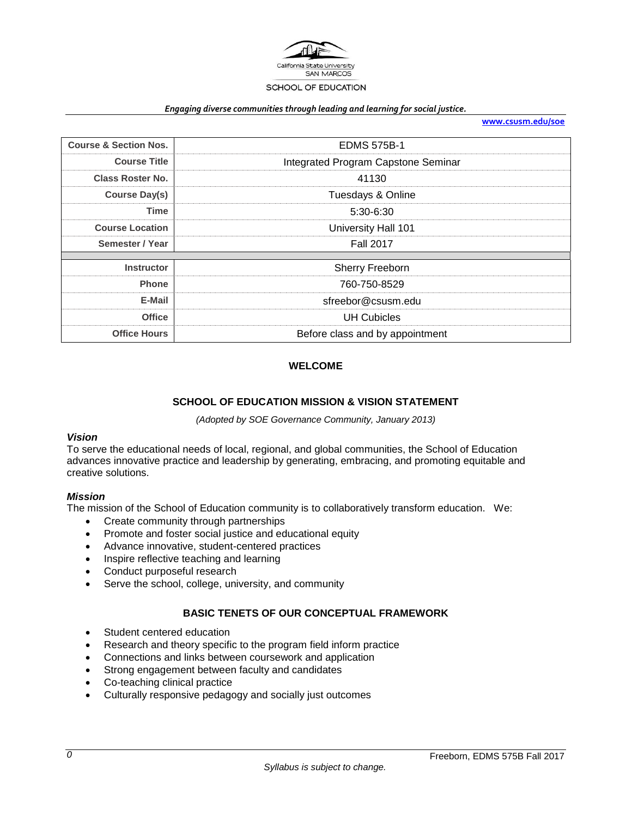

#### *Engaging diverse communities through leading and learning for social justice.*

**[www.csusm.edu/soe](http://www.csusm.edu/soe)**

| <b>Course &amp; Section Nos.</b> | <b>EDMS 575B-1</b>                  |
|----------------------------------|-------------------------------------|
| <b>Course Title</b>              | Integrated Program Capstone Seminar |
| <b>Class Roster No.</b>          | 41130                               |
| <b>Course Day(s)</b>             | Tuesdays & Online                   |
| <b>Time</b>                      | 5:30-6:30                           |
| <b>Course Location</b>           | University Hall 101                 |
| Semester / Year                  | <b>Fall 2017</b>                    |
|                                  |                                     |
| <b>Instructor</b>                | Sherry Freeborn                     |
| <b>Phone</b>                     | 760-750-8529                        |
| E-Mail                           | sfreebor@csusm.edu                  |
| <b>Office</b>                    | <b>UH Cubicles</b>                  |
| <b>Office Hours</b>              | Before class and by appointment     |

### **WELCOME**

#### **SCHOOL OF EDUCATION MISSION & VISION STATEMENT**

*(Adopted by SOE Governance Community, January 2013)*

### *Vision*

To serve the educational needs of local, regional, and global communities, the School of Education advances innovative practice and leadership by generating, embracing, and promoting equitable and creative solutions.

#### *Mission*

The mission of the School of Education community is to collaboratively transform education. We:

- Create community through partnerships
- Promote and foster social justice and educational equity
- Advance innovative, student-centered practices
- Inspire reflective teaching and learning
- Conduct purposeful research
- Serve the school, college, university, and community

#### **BASIC TENETS OF OUR CONCEPTUAL FRAMEWORK**

- Student centered education
- Research and theory specific to the program field inform practice
- Connections and links between coursework and application
- Strong engagement between faculty and candidates
- Co-teaching clinical practice
- Culturally responsive pedagogy and socially just outcomes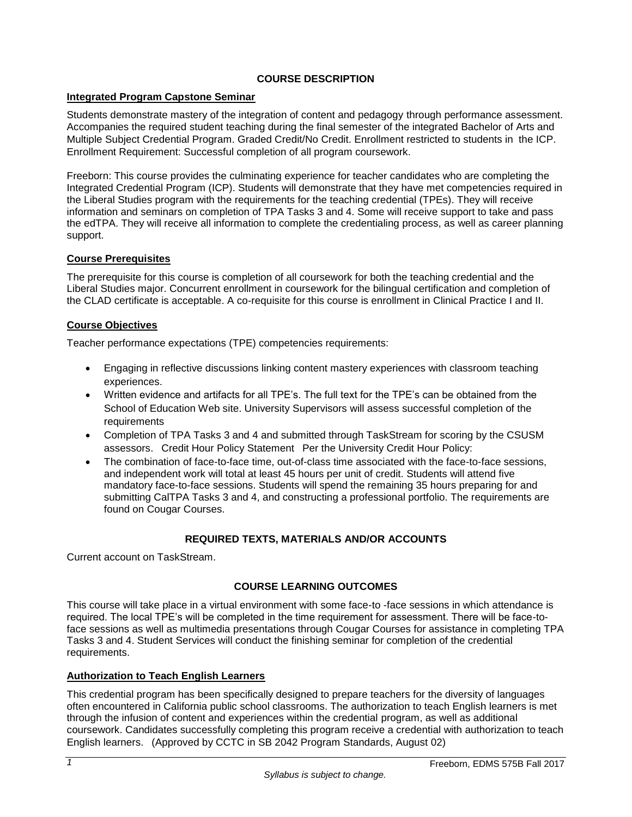# **COURSE DESCRIPTION**

# **Integrated Program Capstone Seminar**

Students demonstrate mastery of the integration of content and pedagogy through performance assessment. Accompanies the required student teaching during the final semester of the integrated Bachelor of Arts and Multiple Subject Credential Program. Graded Credit/No Credit. Enrollment restricted to students in the ICP. Enrollment Requirement: Successful completion of all program coursework.

Freeborn: This course provides the culminating experience for teacher candidates who are completing the Integrated Credential Program (ICP). Students will demonstrate that they have met competencies required in the Liberal Studies program with the requirements for the teaching credential (TPEs). They will receive information and seminars on completion of TPA Tasks 3 and 4. Some will receive support to take and pass the edTPA. They will receive all information to complete the credentialing process, as well as career planning support.

# **Course Prerequisites**

The prerequisite for this course is completion of all coursework for both the teaching credential and the Liberal Studies major. Concurrent enrollment in coursework for the bilingual certification and completion of the CLAD certificate is acceptable. A co-requisite for this course is enrollment in Clinical Practice I and II.

# **Course Objectives**

Teacher performance expectations (TPE) competencies requirements:

- Engaging in reflective discussions linking content mastery experiences with classroom teaching experiences.
- Written evidence and artifacts for all TPE's. The full text for the TPE's can be obtained from the School of Education Web site. University Supervisors will assess successful completion of the requirements
- Completion of TPA Tasks 3 and 4 and submitted through TaskStream for scoring by the CSUSM assessors. Credit Hour Policy Statement Per the University Credit Hour Policy:
- The combination of face-to-face time, out-of-class time associated with the face-to-face sessions, and independent work will total at least 45 hours per unit of credit. Students will attend five mandatory face-to-face sessions. Students will spend the remaining 35 hours preparing for and submitting CalTPA Tasks 3 and 4, and constructing a professional portfolio. The requirements are found on Cougar Courses.

# **REQUIRED TEXTS, MATERIALS AND/OR ACCOUNTS**

Current account on TaskStream.

## **COURSE LEARNING OUTCOMES**

This course will take place in a virtual environment with some face-to -face sessions in which attendance is required. The local TPE's will be completed in the time requirement for assessment. There will be face-toface sessions as well as multimedia presentations through Cougar Courses for assistance in completing TPA Tasks 3 and 4. Student Services will conduct the finishing seminar for completion of the credential requirements.

## **Authorization to Teach English Learners**

This credential program has been specifically designed to prepare teachers for the diversity of languages often encountered in California public school classrooms. The authorization to teach English learners is met through the infusion of content and experiences within the credential program, as well as additional coursework. Candidates successfully completing this program receive a credential with authorization to teach English learners. (Approved by CCTC in SB 2042 Program Standards, August 02)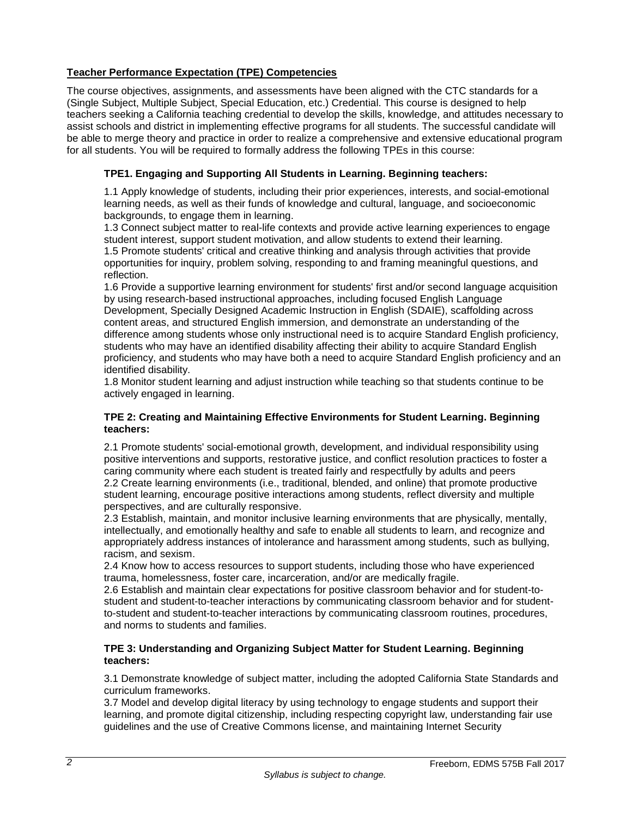# **Teacher Performance Expectation (TPE) Competencies**

The course objectives, assignments, and assessments have been aligned with the CTC standards for a (Single Subject, Multiple Subject, Special Education, etc.) Credential. This course is designed to help teachers seeking a California teaching credential to develop the skills, knowledge, and attitudes necessary to assist schools and district in implementing effective programs for all students. The successful candidate will be able to merge theory and practice in order to realize a comprehensive and extensive educational program for all students. You will be required to formally address the following TPEs in this course:

# **TPE1. Engaging and Supporting All Students in Learning. Beginning teachers:**

1.1 Apply knowledge of students, including their prior experiences, interests, and social-emotional learning needs, as well as their funds of knowledge and cultural, language, and socioeconomic backgrounds, to engage them in learning.

1.3 Connect subject matter to real-life contexts and provide active learning experiences to engage student interest, support student motivation, and allow students to extend their learning. 1.5 Promote students' critical and creative thinking and analysis through activities that provide opportunities for inquiry, problem solving, responding to and framing meaningful questions, and reflection.

1.6 Provide a supportive learning environment for students' first and/or second language acquisition by using research-based instructional approaches, including focused English Language Development, Specially Designed Academic Instruction in English (SDAIE), scaffolding across content areas, and structured English immersion, and demonstrate an understanding of the difference among students whose only instructional need is to acquire Standard English proficiency, students who may have an identified disability affecting their ability to acquire Standard English proficiency, and students who may have both a need to acquire Standard English proficiency and an identified disability.

1.8 Monitor student learning and adjust instruction while teaching so that students continue to be actively engaged in learning.

### **TPE 2: Creating and Maintaining Effective Environments for Student Learning. Beginning teachers:**

2.1 Promote students' social-emotional growth, development, and individual responsibility using positive interventions and supports, restorative justice, and conflict resolution practices to foster a caring community where each student is treated fairly and respectfully by adults and peers 2.2 Create learning environments (i.e., traditional, blended, and online) that promote productive student learning, encourage positive interactions among students, reflect diversity and multiple perspectives, and are culturally responsive.

2.3 Establish, maintain, and monitor inclusive learning environments that are physically, mentally, intellectually, and emotionally healthy and safe to enable all students to learn, and recognize and appropriately address instances of intolerance and harassment among students, such as bullying, racism, and sexism.

2.4 Know how to access resources to support students, including those who have experienced trauma, homelessness, foster care, incarceration, and/or are medically fragile.

2.6 Establish and maintain clear expectations for positive classroom behavior and for student-tostudent and student-to-teacher interactions by communicating classroom behavior and for studentto-student and student-to-teacher interactions by communicating classroom routines, procedures, and norms to students and families.

### **TPE 3: Understanding and Organizing Subject Matter for Student Learning. Beginning teachers:**

3.1 Demonstrate knowledge of subject matter, including the adopted California State Standards and curriculum frameworks.

3.7 Model and develop digital literacy by using technology to engage students and support their learning, and promote digital citizenship, including respecting copyright law, understanding fair use guidelines and the use of Creative Commons license, and maintaining Internet Security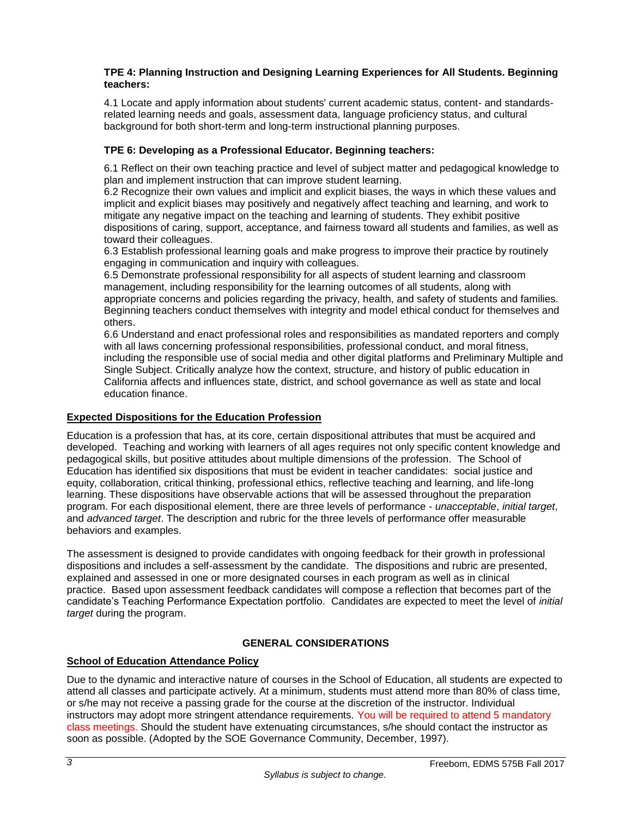### **TPE 4: Planning Instruction and Designing Learning Experiences for All Students. Beginning teachers:**

4.1 Locate and apply information about students' current academic status, content- and standardsrelated learning needs and goals, assessment data, language proficiency status, and cultural background for both short-term and long-term instructional planning purposes.

# **TPE 6: Developing as a Professional Educator. Beginning teachers:**

6.1 Reflect on their own teaching practice and level of subject matter and pedagogical knowledge to plan and implement instruction that can improve student learning.

6.2 Recognize their own values and implicit and explicit biases, the ways in which these values and implicit and explicit biases may positively and negatively affect teaching and learning, and work to mitigate any negative impact on the teaching and learning of students. They exhibit positive dispositions of caring, support, acceptance, and fairness toward all students and families, as well as toward their colleagues.

6.3 Establish professional learning goals and make progress to improve their practice by routinely engaging in communication and inquiry with colleagues.

6.5 Demonstrate professional responsibility for all aspects of student learning and classroom management, including responsibility for the learning outcomes of all students, along with appropriate concerns and policies regarding the privacy, health, and safety of students and families. Beginning teachers conduct themselves with integrity and model ethical conduct for themselves and others.

6.6 Understand and enact professional roles and responsibilities as mandated reporters and comply with all laws concerning professional responsibilities, professional conduct, and moral fitness, including the responsible use of social media and other digital platforms and Preliminary Multiple and Single Subject. Critically analyze how the context, structure, and history of public education in California affects and influences state, district, and school governance as well as state and local education finance.

## **Expected Dispositions for the Education Profession**

Education is a profession that has, at its core, certain dispositional attributes that must be acquired and developed. Teaching and working with learners of all ages requires not only specific content knowledge and pedagogical skills, but positive attitudes about multiple dimensions of the profession. The School of Education has identified six dispositions that must be evident in teacher candidates: social justice and equity, collaboration, critical thinking, professional ethics, reflective teaching and learning, and life-long learning. These dispositions have observable actions that will be assessed throughout the preparation program. For each dispositional element, there are three levels of performance - *unacceptable*, *initial target*, and *advanced target*. The description and rubric for the three levels of performance offer measurable behaviors and examples.

The assessment is designed to provide candidates with ongoing feedback for their growth in professional dispositions and includes a self-assessment by the candidate. The dispositions and rubric are presented, explained and assessed in one or more designated courses in each program as well as in clinical practice. Based upon assessment feedback candidates will compose a reflection that becomes part of the candidate's Teaching Performance Expectation portfolio. Candidates are expected to meet the level of *initial target* during the program.

# **GENERAL CONSIDERATIONS**

# **School of Education Attendance Policy**

Due to the dynamic and interactive nature of courses in the School of Education, all students are expected to attend all classes and participate actively. At a minimum, students must attend more than 80% of class time, or s/he may not receive a passing grade for the course at the discretion of the instructor. Individual instructors may adopt more stringent attendance requirements. You will be required to attend 5 mandatory class meetings. Should the student have extenuating circumstances, s/he should contact the instructor as soon as possible. (Adopted by the SOE Governance Community, December, 1997).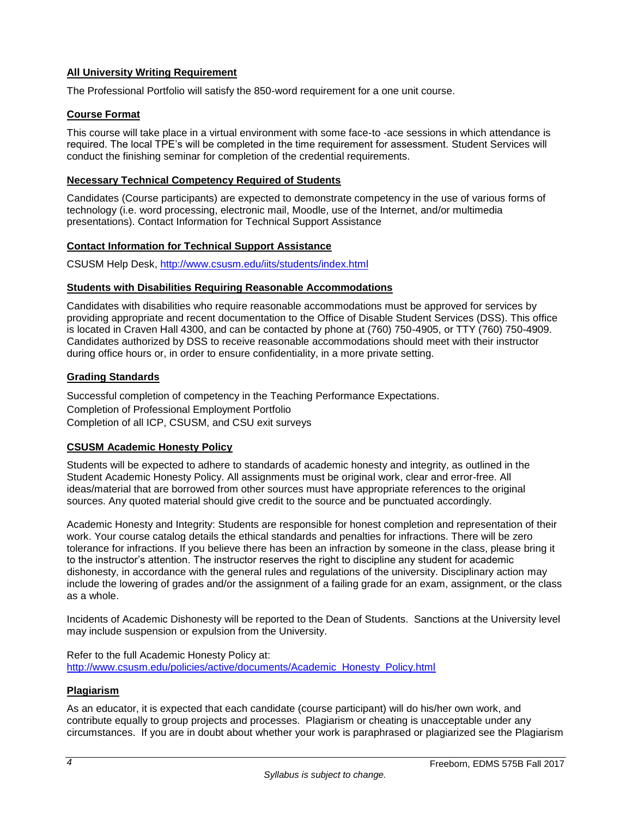# **All University Writing Requirement**

The Professional Portfolio will satisfy the 850-word requirement for a one unit course.

### **Course Format**

This course will take place in a virtual environment with some face-to -ace sessions in which attendance is required. The local TPE's will be completed in the time requirement for assessment. Student Services will conduct the finishing seminar for completion of the credential requirements.

#### **Necessary Technical Competency Required of Students**

Candidates (Course participants) are expected to demonstrate competency in the use of various forms of technology (i.e. word processing, electronic mail, Moodle, use of the Internet, and/or multimedia presentations). Contact Information for Technical Support Assistance

### **Contact Information for Technical Support Assistance**

CSUSM Help Desk,<http://www.csusm.edu/iits/students/index.html>

### **Students with Disabilities Requiring Reasonable Accommodations**

Candidates with disabilities who require reasonable accommodations must be approved for services by providing appropriate and recent documentation to the Office of Disable Student Services (DSS). This office is located in Craven Hall 4300, and can be contacted by phone at (760) 750-4905, or TTY (760) 750-4909. Candidates authorized by DSS to receive reasonable accommodations should meet with their instructor during office hours or, in order to ensure confidentiality, in a more private setting.

## **Grading Standards**

Successful completion of competency in the Teaching Performance Expectations. Completion of Professional Employment Portfolio Completion of all ICP, CSUSM, and CSU exit surveys

## **CSUSM Academic Honesty Policy**

Students will be expected to adhere to standards of academic honesty and integrity, as outlined in the Student Academic Honesty Policy. All assignments must be original work, clear and error-free. All ideas/material that are borrowed from other sources must have appropriate references to the original sources. Any quoted material should give credit to the source and be punctuated accordingly.

Academic Honesty and Integrity: Students are responsible for honest completion and representation of their work. Your course catalog details the ethical standards and penalties for infractions. There will be zero tolerance for infractions. If you believe there has been an infraction by someone in the class, please bring it to the instructor's attention. The instructor reserves the right to discipline any student for academic dishonesty, in accordance with the general rules and regulations of the university. Disciplinary action may include the lowering of grades and/or the assignment of a failing grade for an exam, assignment, or the class as a whole.

Incidents of Academic Dishonesty will be reported to the Dean of Students. Sanctions at the University level may include suspension or expulsion from the University.

Refer to the full Academic Honesty Policy at: [http://www.csusm.edu/policies/active/documents/Academic\\_Honesty\\_Policy.html](http://www.csusm.edu/policies/active/documents/Academic_Honesty_Policy.html)

#### **Plagiarism**

As an educator, it is expected that each candidate (course participant) will do his/her own work, and contribute equally to group projects and processes. Plagiarism or cheating is unacceptable under any circumstances. If you are in doubt about whether your work is paraphrased or plagiarized see the Plagiarism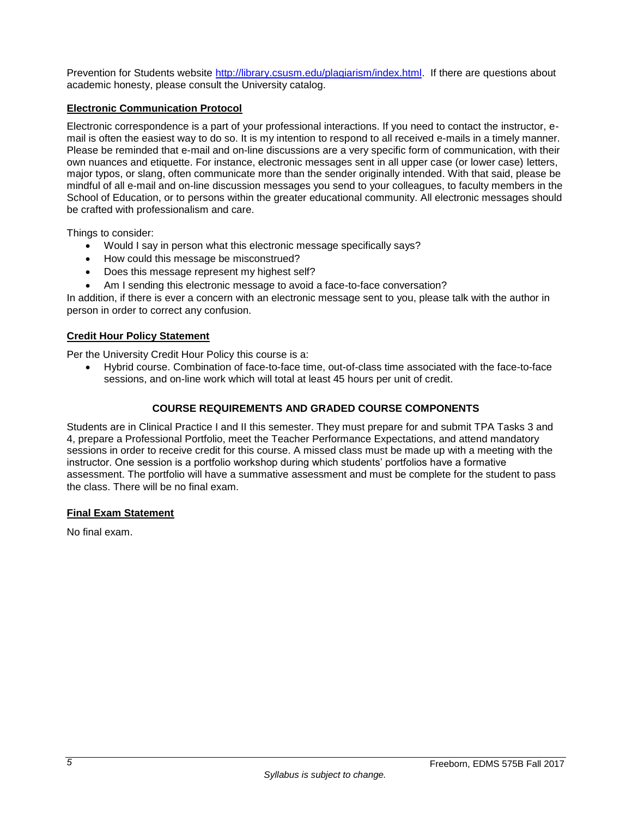Prevention for Students website [http://library.csusm.edu/plagiarism/index.html.](http://library.csusm.edu/plagiarism/index.html) If there are questions about academic honesty, please consult the University catalog.

# **Electronic Communication Protocol**

Electronic correspondence is a part of your professional interactions. If you need to contact the instructor, email is often the easiest way to do so. It is my intention to respond to all received e-mails in a timely manner. Please be reminded that e-mail and on-line discussions are a very specific form of communication, with their own nuances and etiquette. For instance, electronic messages sent in all upper case (or lower case) letters, major typos, or slang, often communicate more than the sender originally intended. With that said, please be mindful of all e-mail and on-line discussion messages you send to your colleagues, to faculty members in the School of Education, or to persons within the greater educational community. All electronic messages should be crafted with professionalism and care.

Things to consider:

- Would I say in person what this electronic message specifically says?
- How could this message be misconstrued?
- Does this message represent my highest self?
- Am I sending this electronic message to avoid a face-to-face conversation?

In addition, if there is ever a concern with an electronic message sent to you, please talk with the author in person in order to correct any confusion.

### **Credit Hour Policy Statement**

Per the University Credit Hour Policy this course is a:

 Hybrid course. Combination of face-to-face time, out-of-class time associated with the face-to-face sessions, and on-line work which will total at least 45 hours per unit of credit.

# **COURSE REQUIREMENTS AND GRADED COURSE COMPONENTS**

Students are in Clinical Practice I and II this semester. They must prepare for and submit TPA Tasks 3 and 4, prepare a Professional Portfolio, meet the Teacher Performance Expectations, and attend mandatory sessions in order to receive credit for this course. A missed class must be made up with a meeting with the instructor. One session is a portfolio workshop during which students' portfolios have a formative assessment. The portfolio will have a summative assessment and must be complete for the student to pass the class. There will be no final exam.

#### **Final Exam Statement**

No final exam.